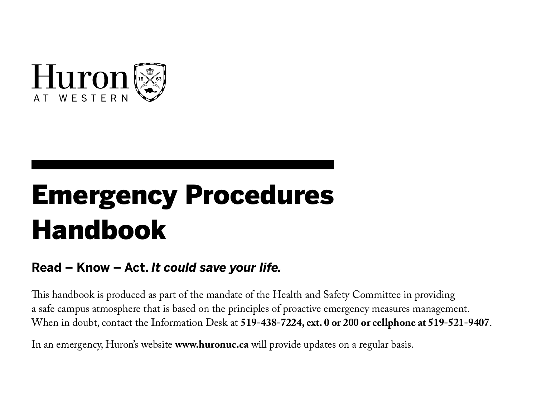

# Emergency Procedures Handbook

### **Read – Know – Act.** *It could save your life.*

This handbook is produced as part of the mandate of the Health and Safety Committee in providing a safe campus atmosphere that is based on the principles of proactive emergency measures management. When in doubt, contact the Information Desk at **519-438-7224, ext. 0 or 200 or cellphone at 519-521-9407**.

In an emergency, Huron's website **www.huronuc.ca** will provide updates on a regular basis.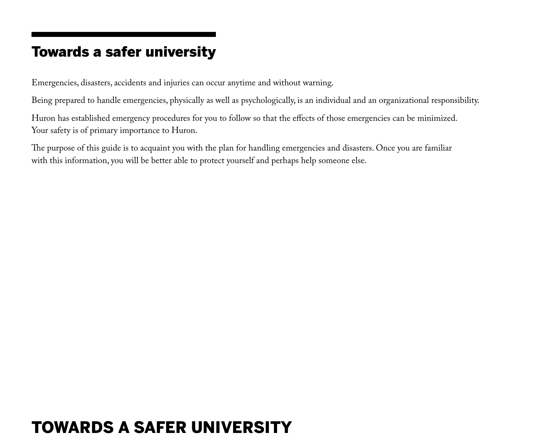### Towards a safer university

Emergencies, disasters, accidents and injuries can occur anytime and without warning.

Being prepared to handle emergencies, physically as well as psychologically, is an individual and an organizational responsibility.

Huron has established emergency procedures for you to follow so that the effects of those emergencies can be minimized. Your safety is of primary importance to Huron.

The purpose of this guide is to acquaint you with the plan for handling emergencies and disasters. Once you are familiar with this information, you will be better able to protect yourself and perhaps help someone else.

## TOWARDS A SAFER UNIVERSITY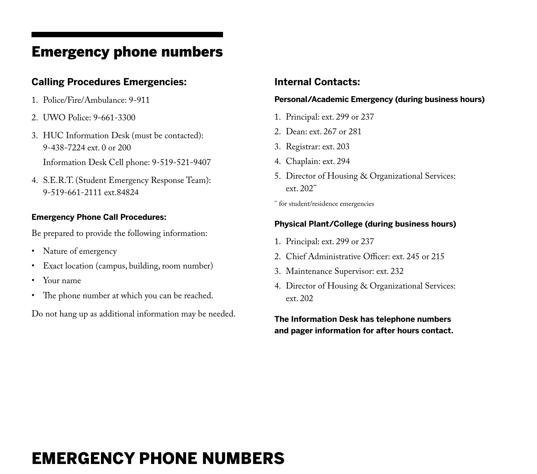### Emergency phone numbers

### **Calling Procedures Emergencies:**

- 1. Police/Fire/Ambulance: 9-911
- 2. UWO Police: 9-661-3300
- 3. HUC Information Desk (must be contacted): 9-438-7224 ext. 0 or 200 Information Desk Cell phone: 9-519-521-9407
- 4. S.E.R.T. (Student Emergency Response Team): 9-519-661-2111 ext.84824

#### **Emergency Phone Call Procedures:**

Be prepared to provide the following information:

- Nature of emergency
- Exact location (campus, building, room number)
- Your name
- The phone number at which you can be reached.

Do not hang up as additional information may be needed.

### **Internal Contacts:**

#### **Personal/Academic Emergency (during business hours)**

- 1. Principal: ext. 299 or 237
- 2. Dean: ext. 267 or 281
- 3. Registrar: ext. 203
- 4. Chaplain: ext. 294
- 5. Director of Housing & Organizational Services: ext. 202\*\*

\*\* for student/residence emergencies

#### **Physical Plant/College (during business hours)**

- 1. Principal: ext. 299 or 237
- 2. Chief Administrative Officer: ext. 245 or 215
- 3. Maintenance Supervisor: ext. 232
- 4. Director of Housing & Organizational Services: ext. 202

**The Information Desk has telephone numbers and pager information for after hours contact.**

## EMERGENCY PHONE NUMBERS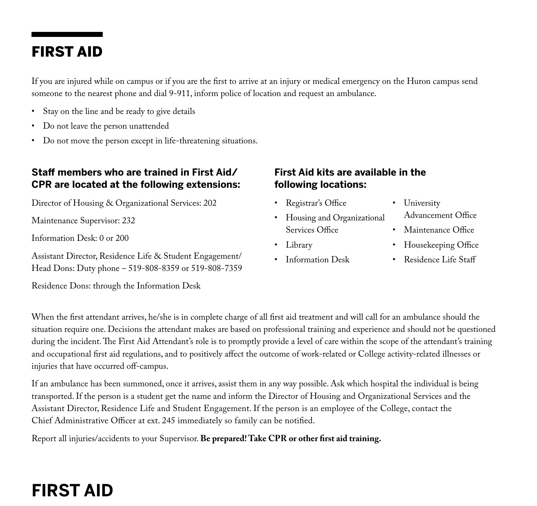## FIRST AID

If you are injured while on campus or if you are the first to arrive at an injury or medical emergency on the Huron campus send someone to the nearest phone and dial 9-911, inform police of location and request an ambulance.

- • Stay on the line and be ready to give details
- Do not leave the person unattended
- • Do not move the person except in life-threatening situations.

### **Staff members who are trained in First Aid/ CPR are located at the following extensions:**

Director of Housing & Organizational Services: 202

Maintenance Supervisor: 232

Information Desk: 0 or 200

Assistant Director, Residence Life & Student Engagement/ Head Dons: Duty phone – 519-808-8359 or 519-808-7359

Residence Dons: through the Information Desk

### **First Aid kits are available in the following locations:**

- • Registrar's Office
- Housing and Organizational Services Office
- • Library
- Information Desk
- University
	- Advancement Office
- Maintenance Office
- • Housekeeping Office
- Residence Life Staff

When the first attendant arrives, he/she is in complete charge of all first aid treatment and will call for an ambulance should the situation require one. Decisions the attendant makes are based on professional training and experience and should not be questioned during the incident. The First Aid Attendant's role is to promptly provide a level of care within the scope of the attendant's training and occupational first aid regulations, and to positively affect the outcome of work-related or College activity-related illnesses or injuries that have occurred off-campus.

If an ambulance has been summoned, once it arrives, assist them in any way possible. Ask which hospital the individual is being transported. If the person is a student get the name and inform the Director of Housing and Organizational Services and the Assistant Director, Residence Life and Student Engagement. If the person is an employee of the College, contact the Chief Administrative Officer at ext. 245 immediately so family can be notified.

Report all injuries/accidents to your Supervisor. **Be prepared! Take CPR or other first aid training.**

## **First Aid**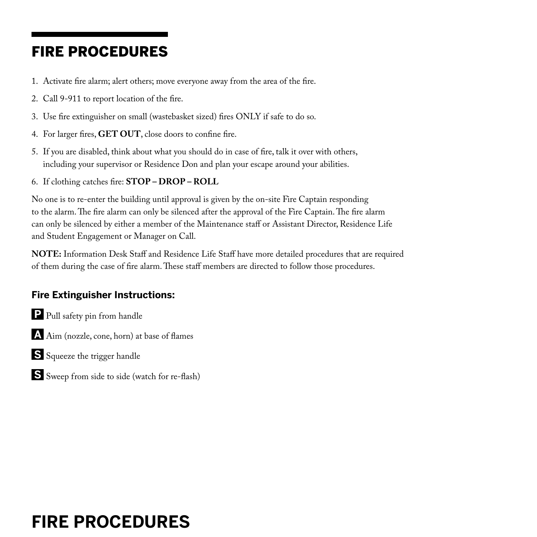## FIRE PROCEDURES

- 1. Activate fire alarm; alert others; move everyone away from the area of the fire.
- 2. Call 9-911 to report location of the fire.
- 3. Use fire extinguisher on small (wastebasket sized) fires ONLY if safe to do so.
- 4. For larger fires, **GET OUT**, close doors to confine fire.
- 5. If you are disabled, think about what you should do in case of fire, talk it over with others, including your supervisor or Residence Don and plan your escape around your abilities.
- 6. If clothing catches fire: **STOP DROP ROLL**

No one is to re-enter the building until approval is given by the on-site Fire Captain responding to the alarm. The fire alarm can only be silenced after the approval of the Fire Captain. The fire alarm can only be silenced by either a member of the Maintenance staff or Assistant Director, Residence Life and Student Engagement or Manager on Call.

**NOTE:** Information Desk Staff and Residence Life Staff have more detailed procedures that are required of them during the case of fire alarm. These staff members are directed to follow those procedures.

### **Fire Extinguisher Instructions:**

- **P** Pull safety pin from handle
- **A** Aim (nozzle, cone, horn) at base of flames
- **S** Squeeze the trigger handle
- **S** Sweep from side to side (watch for re-flash)

## **FIRE PROCEDURES**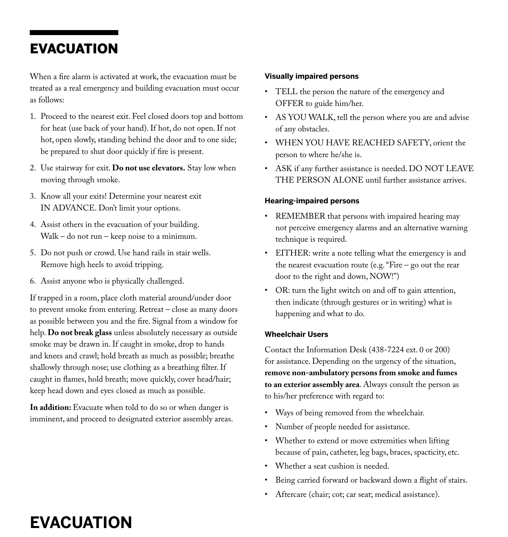### EVACUATION

When a fire alarm is activated at work, the evacuation must be treated as a real emergency and building evacuation must occur as follows:

- 1. Proceed to the nearest exit. Feel closed doors top and bottom for heat (use back of your hand). If hot, do not open. If not hot, open slowly, standing behind the door and to one side; be prepared to shut door quickly if fire is present.
- 2. Use stairway for exit. **Do not use elevators.** Stay low when moving through smoke.
- 3. Know all your exits! Determine your nearest exit IN ADVANCE. Don't limit your options.
- 4. Assist others in the evacuation of your building. Walk – do not run – keep noise to a minimum.
- 5. Do not push or crowd. Use hand rails in stair wells. Remove high heels to avoid tripping.
- 6. Assist anyone who is physically challenged.

If trapped in a room, place cloth material around/under door to prevent smoke from entering. Retreat – close as many doors as possible between you and the fire. Signal from a window for help. **Do not break glass** unless absolutely necessary as outside smoke may be drawn in. If caught in smoke, drop to hands and knees and crawl; hold breath as much as possible; breathe shallowly through nose; use clothing as a breathing filter. If caught in flames, hold breath; move quickly, cover head/hair; keep head down and eyes closed as much as possible.

**In addition:** Evacuate when told to do so or when danger is imminent, and proceed to designated exterior assembly areas.

#### **Visually impaired persons**

- • TELL the person the nature of the emergency and OFFER to guide him/her.
- • AS YOU WALK, tell the person where you are and advise of any obstacles.
- • WHEN YOU HAVE REACHED SAFETY, orient the person to where he/she is.
- • ASK if any further assistance is needed. DO NOT LEAVE THE PERSON ALONE until further assistance arrives.

#### **Hearing-impaired persons**

- REMEMBER that persons with impaired hearing may not perceive emergency alarms and an alternative warning technique is required.
- EITHER: write a note telling what the emergency is and the nearest evacuation route (e.g. "Fire – go out the rear door to the right and down, NOW!")
- OR: turn the light switch on and off to gain attention, then indicate (through gestures or in writing) what is happening and what to do.

#### **Wheelchair Users**

Contact the Information Desk (438-7224 ext. 0 or 200) for assistance. Depending on the urgency of the situation, **remove non-ambulatory persons from smoke and fumes to an exterior assembly area**. Always consult the person as to his/her preference with regard to:

- • Ways of being removed from the wheelchair.
- Number of people needed for assistance.
- Whether to extend or move extremities when lifting because of pain, catheter, leg bags, braces, spacticity, etc.
- Whether a seat cushion is needed.
- Being carried forward or backward down a flight of stairs.
- Aftercare (chair; cot; car seat; medical assistance).

## **EVACUATION**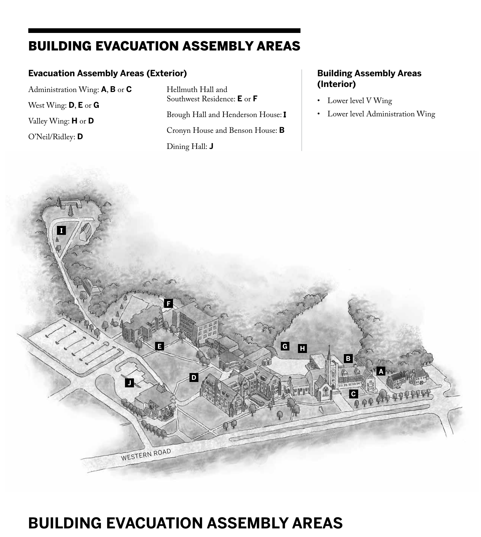## BUILDING EVACUATION ASSEMBLY AREAS

### **Evacuation Assembly Areas (Exterior)**

Administration Wing: **A**, **B** or **C** West Wing: **D**, **E** or **G** Valley Wing: **H** or **D** O'Neil/Ridley: **D**

Hellmuth Hall and Southwest Residence: **E** or **F** Brough Hall and Henderson House: I

Cronyn House and Benson House: **B** Dining Hall: **J**

### **Building Assembly Areas (Interior)**

- • Lower level V Wing
- • Lower level Administration Wing



## **BUILDING EVACUATION ASSEMBLY AREAS**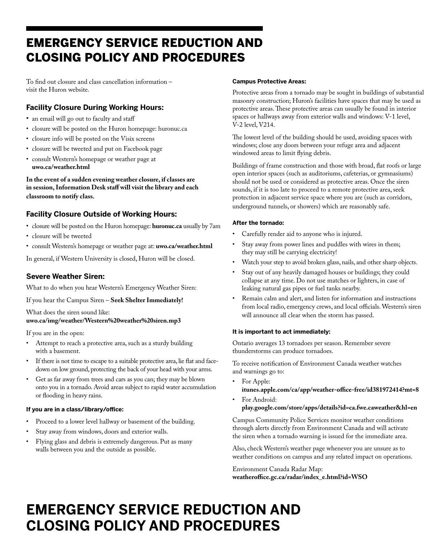## EMERGENCY SERVICE REDUCTION AND CLOSING POLICY AND PROCEDURES

To find out closure and class cancellation information – visit the Huron website.

### **Facility Closure During Working Hours:**

- an email will go out to faculty and staff
- • closure will be posted on the Huron homepage: huronuc.ca
- • closure info will be posted on the Visix screens
- • closure will be tweeted and put on Facebook page
- • consult Western's homepage or weather page at **uwo.ca/weather.html**

**In the event of a sudden evening weather closure, if classes are in session, Information Desk staff will visit the library and each classroom to notify class.**

### **Facility Closure Outside of Working Hours:**

- • closure will be posted on the Huron homepage: **huronuc.ca** usually by 7am
- closure will be tweeted
- • consult Western's homepage or weather page at: **uwo.ca/weather.html**

In general, if Western University is closed, Huron will be closed.

#### **Severe Weather Siren:**

What to do when you hear Western's Emergency Weather Siren:

If you hear the Campus Siren – **Seek Shelter Immediately!**

#### What does the siren sound like: **uwo.ca/img/weather/Western%20weather%20siren.mp3**

If you are in the open:

- Attempt to reach a protective area, such as a sturdy building with a basement.
- If there is not time to escape to a suitable protective area, lie flat and facedown on low ground, protecting the back of your head with your arms.
- Get as far away from trees and cars as you can; they may be blown onto you in a tornado. Avoid areas subject to rapid water accumulation or flooding in heavy rains.

#### **If you are in a class/library/office:**

- Proceed to a lower level hallway or basement of the building.
- Stay away from windows, doors and exterior walls.
- Flying glass and debris is extremely dangerous. Put as many walls between you and the outside as possible.

#### **Campus Protective Areas:**

Protective areas from a tornado may be sought in buildings of substantial masonry construction; Huron's facilities have spaces that may be used as protective areas. These protective areas can usually be found in interior spaces or hallways away from exterior walls and windows: V-1 level, V-2 level, V214.

The lowest level of the building should be used, avoiding spaces with windows; close any doors between your refuge area and adjacent windowed areas to limit flying debris.

Buildings of frame construction and those with broad, flat roofs or large open interior spaces (such as auditoriums, cafeterias, or gymnasiums) should not be used or considered as protective areas. Once the siren sounds, if it is too late to proceed to a remote protective area, seek protection in adjacent service space where you are (such as corridors, underground tunnels, or showers) which are reasonably safe.

#### **After the tornado:**

- Carefully render aid to anyone who is injured.
- Stay away from power lines and puddles with wires in them; they may still be carrying electricity!
- • Watch your step to avoid broken glass, nails, and other sharp objects.
- Stay out of any heavily damaged houses or buildings; they could collapse at any time. Do not use matches or lighters, in case of leaking natural gas pipes or fuel tanks nearby.
- Remain calm and alert, and listen for information and instructions from local radio, emergency crews, and local officials. Western's siren will announce all clear when the storm has passed.

#### **It is important to act immediately:**

Ontario averages 13 tornadoes per season. Remember severe thunderstorms can produce tornadoes.

To receive notification of Environment Canada weather watches and warnings go to:

- For Apple:
- **itunes.apple.com/ca/app/weather-office-free/id381972414?mt=8** For Android:

#### **play.google.com/store/apps/details?id=ca.fwe.caweather&hl=en**

Campus Community Police Services monitor weather conditions through alerts directly from Environment Canada and will activate the siren when a tornado warning is issued for the immediate area.

Also, check Western's weather page whenever you are unsure as to weather conditions on campus and any related impact on operations.

Environment Canada Radar Map: **weatheroffice.gc.ca/radar/index\_e.html?id=WSO**

## **EMERGENCY SERVICE REDUCTION AND CLOSING POLICY AND PROCEDURES**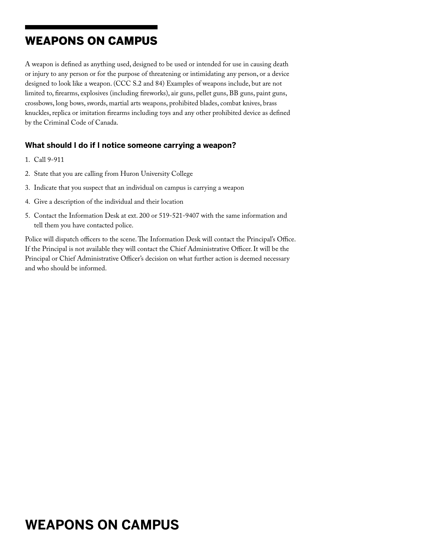## WEAPONS ON CAMPUS

A weapon is defined as anything used, designed to be used or intended for use in causing death or injury to any person or for the purpose of threatening or intimidating any person, or a device designed to look like a weapon. (CCC S.2 and 84) Examples of weapons include, but are not limited to, firearms, explosives (including fireworks), air guns, pellet guns, BB guns, paint guns, crossbows, long bows, swords, martial arts weapons, prohibited blades, combat knives, brass knuckles, replica or imitation firearms including toys and any other prohibited device as defined by the Criminal Code of Canada.

### **What should I do if I notice someone carrying a weapon?**

- 1. Call 9-911
- 2. State that you are calling from Huron University College
- 3. Indicate that you suspect that an individual on campus is carrying a weapon
- 4. Give a description of the individual and their location
- 5. Contact the Information Desk at ext. 200 or 519-521-9407 with the same information and tell them you have contacted police.

Police will dispatch officers to the scene. The Information Desk will contact the Principal's Office. If the Principal is not available they will contact the Chief Administrative Officer. It will be the Principal or Chief Administrative Officer's decision on what further action is deemed necessary and who should be informed.

## **WEAPONS ON CAMPUS**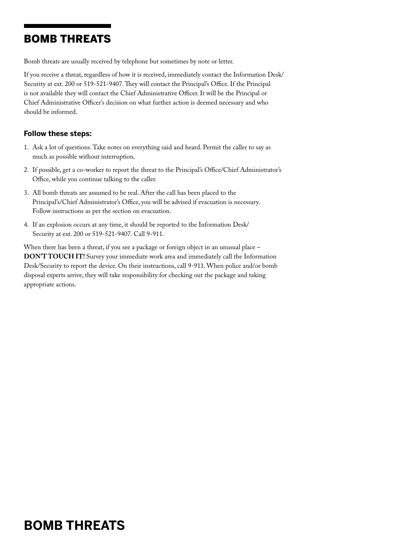### BOMB THREATS

Bomb threats are usually received by telephone but sometimes by note or letter.

If you receive a threat, regardless of how it is received, immediately contact the Information Desk/ Security at ext. 200 or 519-521-9407. They will contact the Principal's Office. If the Principal is not available they will contact the Chief Administrative Officer. It will be the Principal or Chief Administrative Officer's decision on what further action is deemed necessary and who should be informed.

### **Follow these steps:**

- 1. Ask a lot of questions. Take notes on everything said and heard. Permit the caller to say as much as possible without interruption.
- 2. If possible, get a co-worker to report the threat to the Principal's Office/Chief Administrator's Office, while you continue talking to the caller.
- 3. All bomb threats are assumed to be real. After the call has been placed to the Principal's/Chief Administrator's Office, you will be advised if evacuation is necessary. Follow instructions as per the section on evacuation.
- 4. If an explosion occurs at any time, it should be reported to the Information Desk/ Security at ext. 200 or 519-521-9407. Call 9-911.

When there has been a threat, if you see a package or foreign object in an unusual place -**DON'T TOUCH IT!** Survey your immediate work area and immediately call the Information Desk/Security to report the device. On their instructions, call 9-911. When police and/or bomb disposal experts arrive, they will take responsibility for checking out the package and taking appropriate actions.

## **BOMB THREATS**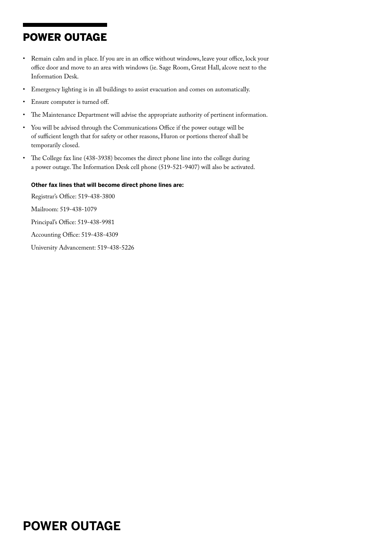## POWER OUTAGE

- • Remain calm and in place.If you are in an office without windows, leave your office, lock your office door and move to an area with windows (ie. Sage Room, Great Hall, alcove next to the Information Desk.
- • Emergency lighting is in all buildings to assist evacuation and comes on automatically.
- Ensure computer is turned off.
- The Maintenance Department will advise the appropriate authority of pertinent information.
- You will be advised through the Communications Office if the power outage will be of sufficient length that for safety or other reasons, Huron or portions thereof shall be temporarily closed.
- The College fax line (438-3938) becomes the direct phone line into the college during a power outage. The Information Desk cell phone (519-521-9407) will also be activated.

#### **Other fax lines that will become direct phone lines are:**

Registrar's Office: 519-438-3800 Mailroom: 519-438-1079 Principal's Office: 519-438-9981 Accounting Office: 519-438-4309 University Advancement: 519-438-5226

## **POWER OUTAGE**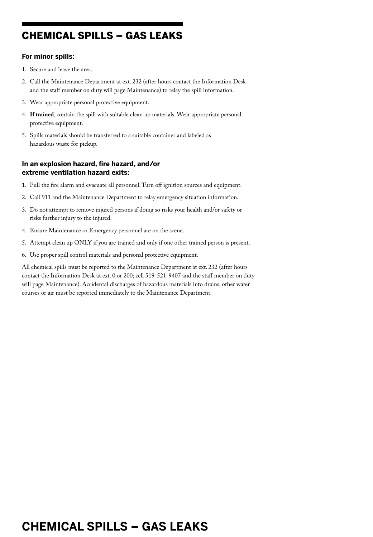## CHEMICAL SPILLS – GAS LEAKS

### **For minor spills:**

- 1. Secure and leave the area.
- 2. Call the Maintenance Department at ext. 232 (after hours contact the Information Desk and the staff member on duty will page Maintenance) to relay the spill information.
- 3. Wear appropriate personal protective equipment.
- 4. **If trained**, contain the spill with suitable clean up materials. Wear appropriate personal protective equipment.
- 5. Spills materials should be transferred to a suitable container and labeled as hazardous waste for pickup.

### **In an explosion hazard, fire hazard, and/or extreme ventilation hazard exits:**

- 1. Pull the fire alarm and evacuate all personnel. Turn off ignition sources and equipment.
- 2. Call 911 and the Maintenance Department to relay emergency situation information.
- 3. Do not attempt to remove injured persons if doing so risks your health and/or safety or risks further injury to the injured.
- 4. Ensure Maintenance or Emergency personnel are on the scene.
- 5. Attempt clean up ONLY if you are trained and only if one other trained person is present.
- 6. Use proper spill control materials and personal protective equipment.

All chemical spills must be reported to the Maintenance Department at ext. 232 (after hours contact the Information Desk at ext. 0 or 200; cell 519-521-9407 and the staff member on duty will page Maintenance). Accidental discharges of hazardous materials into drains, other water courses or air must be reported immediately to the Maintenance Department.

## **CHEMICAL SPILLS – GAS LEAKS**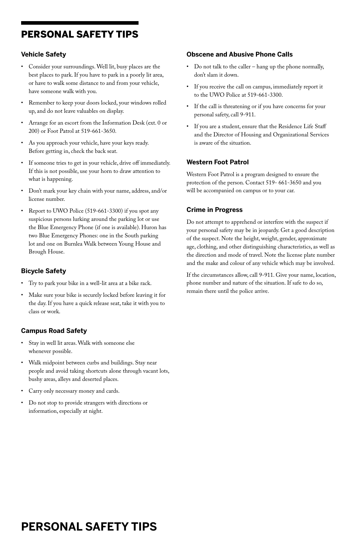## PERSONAL SAFETY TIPS

### **Vehicle Safety**

- Consider your surroundings. Well lit, busy places are the best places to park. If you have to park in a poorly lit area, or have to walk some distance to and from your vehicle, have someone walk with you.
- • Remember to keep your doors locked, your windows rolled up, and do not leave valuables on display.
- Arrange for an escort from the Information Desk (ext. 0 or 200) or Foot Patrol at 519-661-3650.
- As you approach your vehicle, have your keys ready. Before getting in, check the back seat.
- If someone tries to get in your vehicle, drive off immediately. If this is not possible, use your horn to draw attention to what is happening.
- Don't mark your key chain with your name, address, and/or license number.
- Report to UWO Police (519-661-3300) if you spot any suspicious persons lurking around the parking lot or use the Blue Emergency Phone (if one is available). Huron has two Blue Emergency Phones: one in the South parking lot and one on Burnlea Walk between Young House and Brough House.

### **Bicycle Safety**

- Try to park your bike in a well-lit area at a bike rack.
- Make sure your bike is securely locked before leaving it for the day. If you have a quick release seat, take it with you to class or work.

### **Campus Road Safety**

- Stay in well lit areas. Walk with someone else whenever possible.
- • Walk midpoint between curbs and buildings. Stay near people and avoid taking shortcuts alone through vacant lots, bushy areas, alleys and deserted places.
- • Carry only necessary money and cards.
- Do not stop to provide strangers with directions or information, especially at night.

### **Obscene and Abusive Phone Calls**

- • Do not talk to the caller hang up the phone normally, don't slam it down.
- If you receive the call on campus, immediately report it to the UWO Police at 519-661-3300.
- If the call is threatening or if you have concerns for your personal safety, call 9-911.
- If you are a student, ensure that the Residence Life Staff and the Director of Housing and Organizational Services is aware of the situation.

### **Western Foot Patrol**

Western Foot Patrol is a program designed to ensure the protection of the person. Contact 519- 661-3650 and you will be accompanied on campus or to your car.

### **Crime in Progress**

Do not attempt to apprehend or interfere with the suspect if your personal safety may be in jeopardy. Get a good description of the suspect. Note the height, weight, gender, approximate age, clothing, and other distinguishing characteristics, as well as the direction and mode of travel. Note the license plate number and the make and colour of any vehicle which may be involved.

If the circumstances allow, call 9-911. Give your name, location, phone number and nature of the situation. If safe to do so, remain there until the police arrive.

## **PERSONAL SAFETY TIPS**